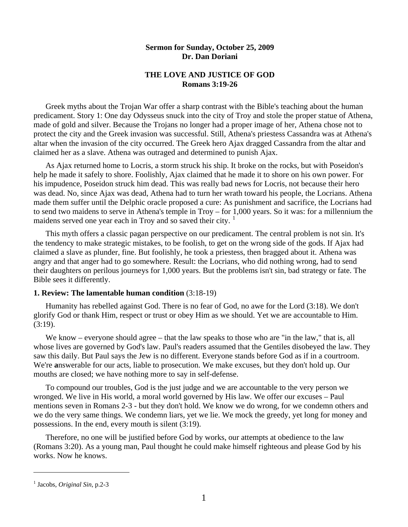## **Sermon for Sunday, October 25, 2009 Dr. Dan Doriani**

# **THE LOVE AND JUSTICE OF GOD Romans 3:19-26**

 Greek myths about the Trojan War offer a sharp contrast with the Bible's teaching about the human predicament. Story 1: One day Odysseus snuck into the city of Troy and stole the proper statue of Athena, made of gold and silver. Because the Trojans no longer had a proper image of her, Athena chose not to protect the city and the Greek invasion was successful. Still, Athena's priestess Cassandra was at Athena's altar when the invasion of the city occurred. The Greek hero Ajax dragged Cassandra from the altar and claimed her as a slave. Athena was outraged and determined to punish Ajax.

 As Ajax returned home to Locris, a storm struck his ship. It broke on the rocks, but with Poseidon's help he made it safely to shore. Foolishly, Ajax claimed that he made it to shore on his own power. For his impudence, Poseidon struck him dead. This was really bad news for Locris, not because their hero was dead. No, since Ajax was dead, Athena had to turn her wrath toward his people, the Locrians. Athena made them suffer until the Delphic oracle proposed a cure: As punishment and sacrifice, the Locrians had to send two maidens to serve in Athena's temple in Troy – for 1,000 years. So it was: for a millennium the maidens served one year each in Troy and so saved their city.  $1$ 

 This myth offers a classic pagan perspective on our predicament. The central problem is not sin. It's the tendency to make strategic mistakes, to be foolish, to get on the wrong side of the gods. If Ajax had claimed a slave as plunder, fine. But foolishly, he took a priestess, then bragged about it. Athena was angry and that anger had to go somewhere. Result: the Locrians, who did nothing wrong, had to send their daughters on perilous journeys for 1,000 years. But the problems isn't sin, bad strategy or fate. The Bible sees it differently.

## **1. Review: The lamentable human condition** (3:18-19)

 Humanity has rebelled against God. There is no fear of God, no awe for the Lord (3:18). We don't glorify God or thank Him, respect or trust or obey Him as we should. Yet we are accountable to Him.  $(3:19)$ .

We know – everyone should agree – that the law speaks to those who are "in the law," that is, all whose lives are governed by God's law. Paul's readers assumed that the Gentiles disobeyed the law. They saw this daily. But Paul says the Jew is no different. Everyone stands before God as if in a courtroom. We're **a**nswerable for our acts, liable to prosecution. We make excuses, but they don't hold up. Our mouths are closed; we have nothing more to say in self-defense.

 To compound our troubles, God is the just judge and we are accountable to the very person we wronged. We live in His world, a moral world governed by His law. We offer our excuses – Paul mentions seven in Romans 2-3 - but they don't hold. We know we do wrong, for we condemn others and we do the very same things. We condemn liars, yet we lie. We mock the greedy, yet long for money and possessions. In the end, every mouth is silent (3:19).

 Therefore, no one will be justified before God by works, our attempts at obedience to the law (Romans 3:20). As a young man, Paul thought he could make himself righteous and please God by his works. Now he knows.

l

<span id="page-0-0"></span><sup>&</sup>lt;sup>1</sup> Jacobs, *Original Sin*, p.2-3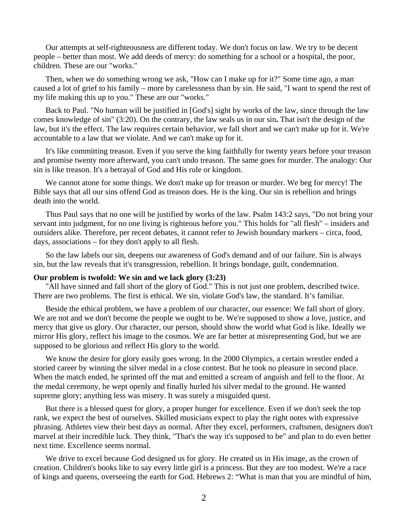Our attempts at self-righteousness are different today. We don't focus on law. We try to be decent people – better than most. We add deeds of mercy: do something for a school or a hospital, the poor, children. These are our "works."

 Then, when we do something wrong we ask, "How can I make up for it?" Some time ago, a man caused a lot of grief to his family – more by carelessness than by sin. He said, "I want to spend the rest of my life making this up to you." These are our "works."

 Back to Paul. "No human will be justified in [God's] sight by works of the law, since through the law comes knowledge of sin" (3:20). On the contrary, the law seals us in our sin**.** That isn't the design of the law, but it's the effect. The law requires certain behavior, we fall short and we can't make up for it. We're accountable to a law that we violate. And we can't make up for it.

 It's like committing treason. Even if you serve the king faithfully for twenty years before your treason and promise twenty more afterward, you can't undo treason. The same goes for murder. The analogy: Our sin is like treason. It's a betrayal of God and His rule or kingdom.

 We cannot atone for some things. We don't make up for treason or murder. We beg for mercy! The Bible says that all our sins offend God as treason does. He is the king. Our sin is rebellion and brings death into the world.

 Thus Paul says that no one will be justified by works of the law. Psalm 143:2 says, "Do not bring your servant into judgment, for no one living is righteous before you." This holds for "all flesh" – insiders and outsiders alike. Therefore, per recent debates, it cannot refer to Jewish boundary markers – circa, food, days, associations – for they don't apply to all flesh.

 So the law labels our sin, deepens our awareness of God's demand and of our failure. Sin is always sin, but the law reveals that it's transgression, rebellion. It brings bondage, guilt, condemnation.

#### **Our problem is twofold: We sin and we lack glory (3:23)**

 "All have sinned and fall short of the glory of God." This is not just one problem, described twice. There are two problems. The first is ethical. We sin, violate God's law, the standard. It's familiar.

 Beside the ethical problem, we have a problem of our character, our essence: We fall short of glory. We are not and we don't become the people we ought to be. We're supposed to show a love, justice, and mercy that give us glory. Our character, our person, should show the world what God is like. Ideally we mirror His glory, reflect his image to the cosmos. We are far better at misrepresenting God, but we are supposed to be glorious and reflect His glory to the world.

 We know the desire for glory easily goes wrong. In the 2000 Olympics, a certain wrestler ended a storied career by winning the silver medal in a close contest. But he took no pleasure in second place. When the match ended, he sprinted off the mat and emitted a scream of anguish and fell to the floor. At the medal ceremony, he wept openly and finally hurled his silver medal to the ground. He wanted supreme glory; anything less was misery. It was surely a misguided quest.

 But there is a blessed quest for glory, a proper hunger for excellence. Even if we don't seek the top rank, we expect the best of ourselves. Skilled musicians expect to play the right notes with expressive phrasing. Athletes view their best days as normal. After they excel, performers, craftsmen, designers don't marvel at their incredible luck. They think, "That's the way it's supposed to be" and plan to do even better next time. Excellence seems normal.

 We drive to excel because God designed us for glory. He created us in His image, as the crown of creation. Children's books like to say every little girl is a princess. But they are too modest. We're a race of kings and queens, overseeing the earth for God. Hebrews 2: "What is man that you are mindful of him,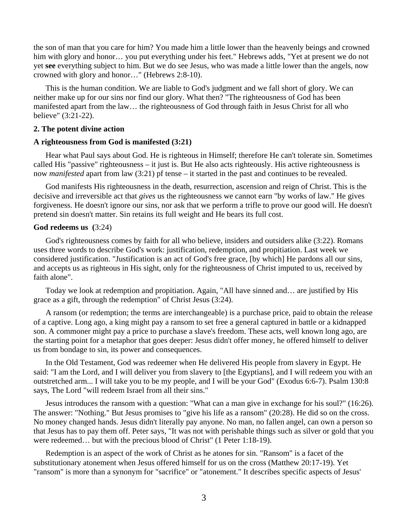the son of man that you care for him? You made him a little lower than the heavenly beings and crowned him with glory and honor... you put everything under his feet." Hebrews adds, "Yet at present we do not yet **see** everything subject to him. But we do see Jesus, who was made a little lower than the angels, now crowned with glory and honor…" (Hebrews 2:8-10).

 This is the human condition. We are liable to God's judgment and we fall short of glory. We can neither make up for our sins nor find our glory. What then? "The righteousness of God has been manifested apart from the law… the righteousness of God through faith in Jesus Christ for all who believe" (3:21-22).

#### **2. The potent divine action**

#### **A righteousness from God is manifested (3:21)**

 Hear what Paul says about God. He is righteous in Himself; therefore He can't tolerate sin. Sometimes called His "passive" righteousness – it just is. But He also acts righteously. His active righteousness is now *manifested* apart from law (3:21) pf tense – it started in the past and continues to be revealed.

 God manifests His righteousness in the death, resurrection, ascension and reign of Christ. This is the decisive and irreversible act that *gives* us the righteousness we cannot earn "by works of law." He gives forgiveness. He doesn't ignore our sins, nor ask that we perform a trifle to prove our good will. He doesn't pretend sin doesn't matter. Sin retains its full weight and He bears its full cost.

#### **God redeems us (**3:24)

 God's righteousness comes by faith for all who believe, insiders and outsiders alike (3:22). Romans uses three words to describe God's work: justification, redemption, and propitiation. Last week we considered justification. "Justification is an act of God's free grace, [by which] He pardons all our sins, and accepts us as righteous in His sight, only for the righteousness of Christ imputed to us, received by faith alone".

 Today we look at redemption and propitiation. Again, "All have sinned and… are justified by His grace as a gift, through the redemption" of Christ Jesus (3:24).

 A ransom (or redemption; the terms are interchangeable) is a purchase price, paid to obtain the release of a captive. Long ago, a king might pay a ransom to set free a general captured in battle or a kidnapped son. A commoner might pay a price to purchase a slave's freedom. These acts, well known long ago, are the starting point for a metaphor that goes deeper: Jesus didn't offer money, he offered himself to deliver us from bondage to sin, its power and consequences.

 In the Old Testament, God was redeemer when He delivered His people from slavery in Egypt. He said: "I am the Lord, and I will deliver you from slavery to [the Egyptians], and I will redeem you with an outstretched arm... I will take you to be my people, and I will be your God" (Exodus 6:6-7). Psalm 130:8 says, The Lord "will redeem Israel from all their sins."

 Jesus introduces the ransom with a question: "What can a man give in exchange for his soul?" (16:26). The answer: "Nothing." But Jesus promises to "give his life as a ransom" (20:28). He did so on the cross. No money changed hands. Jesus didn't literally pay anyone. No man, no fallen angel, can own a person so that Jesus has to pay them off. Peter says, "It was not with perishable things such as silver or gold that you were redeemed… but with the precious blood of Christ" (1 Peter 1:18-19).

 Redemption is an aspect of the work of Christ as he atones for sin. "Ransom" is a facet of the substitutionary atonement when Jesus offered himself for us on the cross (Matthew 20:17-19). Yet "ransom" is more than a synonym for "sacrifice" or "atonement." It describes specific aspects of Jesus'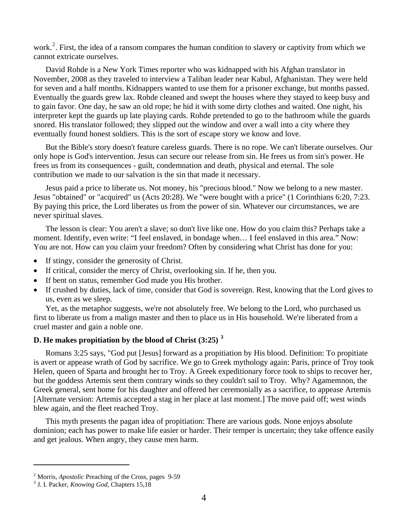work.<sup>[2](#page-3-0)</sup>. First, the idea of a ransom compares the human condition to slavery or captivity from which we cannot extricate ourselves.

 David Rohde is a New York Times reporter who was kidnapped with his Afghan translator in November, 2008 as they traveled to interview a Taliban leader near Kabul, Afghanistan. They were held for seven and a half months. Kidnappers wanted to use them for a prisoner exchange, but months passed. Eventually the guards grew lax. Rohde cleaned and swept the houses where they stayed to keep busy and to gain favor. One day, he saw an old rope; he hid it with some dirty clothes and waited. One night, his interpreter kept the guards up late playing cards. Rohde pretended to go to the bathroom while the guards snored. His translator followed; they slipped out the window and over a wall into a city where they eventually found honest soldiers. This is the sort of escape story we know and love.

 But the Bible's story doesn't feature careless guards. There is no rope. We can't liberate ourselves. Our only hope is God's intervention. Jesus can secure our release from sin. He frees us from sin's power. He frees us from its consequences - guilt, condemnation and death, physical and eternal. The sole contribution we made to our salvation is the sin that made it necessary.

 Jesus paid a price to liberate us. Not money, his "precious blood." Now we belong to a new master. Jesus "obtained" or "acquired" us (Acts 20:28). We "were bought with a price" (1 Corinthians 6:20, 7:23. By paying this price, the Lord liberates us from the power of sin. Whatever our circumstances, we are never spiritual slaves.

 The lesson is clear: You aren't a slave; so don't live like one. How do you claim this? Perhaps take a moment. Identify, even write: "I feel enslaved, in bondage when… I feel enslaved in this area." Now: You are not. How can you claim your freedom? Often by considering what Christ has done for you:

- If stingy, consider the generosity of Christ.
- If critical, consider the mercy of Christ, overlooking sin. If he, then you.
- If bent on status, remember God made you His brother.
- If crushed by duties, lack of time, consider that God is sovereign. Rest, knowing that the Lord gives to us, even as we sleep.

 Yet, as the metaphor suggests, we're not absolutely free. We belong to the Lord, who purchased us first to liberate us from a malign master and then to place us in His household. We're liberated from a cruel master and gain a noble one.

# **D. He makes propitiation by the blood of Christ (3:25) [3](#page-3-1)**

 Romans 3:25 says, "God put [Jesus] forward as a propitiation by His blood. Definition: To propitiate is avert or appease wrath of God by sacrifice. We go to Greek mythology again: Paris, prince of Troy took Helen, queen of Sparta and brought her to Troy. A Greek expeditionary force took to ships to recover her, but the goddess Artemis sent them contrary winds so they couldn't sail to Troy. Why? Agamemnon, the Greek general, sent home for his daughter and offered her ceremonially as a sacrifice, to appease Artemis [Alternate version: Artemis accepted a stag in her place at last moment.] The move paid off; west winds blew again, and the fleet reached Troy.

 This myth presents the pagan idea of propitiation: There are various gods. None enjoys absolute dominion; each has power to make life easier or harder. Their temper is uncertain; they take offence easily and get jealous. When angry, they cause men harm.

 $\overline{a}$ 

<span id="page-3-0"></span><sup>&</sup>lt;sup>2</sup> Morris, *Apostolic* Preaching of the Cross, pages 9-59<br><sup>3</sup> J. J. Besker, *Knowing Cod, Chapters* 15, 18

<span id="page-3-1"></span><sup>&</sup>lt;sup>3</sup> J. I. Packer, *Knowing God*, Chapters 15,18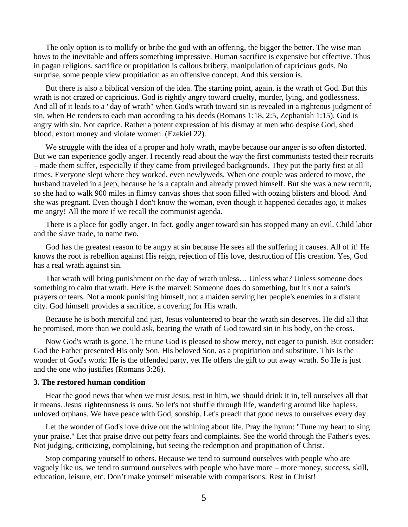The only option is to mollify or bribe the god with an offering, the bigger the better. The wise man bows to the inevitable and offers something impressive. Human sacrifice is expensive but effective. Thus in pagan religions, sacrifice or propitiation is callous bribery, manipulation of capricious gods. No surprise, some people view propitiation as an offensive concept. And this version is.

 But there is also a biblical version of the idea. The starting point, again, is the wrath of God. But this wrath is not crazed or capricious. God is rightly angry toward cruelty, murder, lying, and godlessness. And all of it leads to a "day of wrath" when God's wrath toward sin is revealed in a righteous judgment of sin, when He renders to each man according to his deeds (Romans 1:18, 2:5, Zephaniah 1:15). God is angry with sin. Not caprice. Rather a potent expression of his dismay at men who despise God, shed blood, extort money and violate women. (Ezekiel 22).

We struggle with the idea of a proper and holy wrath, maybe because our anger is so often distorted. But we can experience godly anger. I recently read about the way the first communists tested their recruits – made them suffer, especially if they came from privileged backgrounds. They put the party first at all times. Everyone slept where they worked, even newlyweds. When one couple was ordered to move, the husband traveled in a jeep, because he is a captain and already proved himself. But she was a new recruit, so she had to walk 900 miles in flimsy canvas shoes that soon filled with oozing blisters and blood. And she was pregnant. Even though I don't know the woman, even though it happened decades ago, it makes me angry! All the more if we recall the communist agenda.

 There is a place for godly anger. In fact, godly anger toward sin has stopped many an evil. Child labor and the slave trade, to name two.

 God has the greatest reason to be angry at sin because He sees all the suffering it causes. All of it! He knows the root is rebellion against His reign, rejection of His love, destruction of His creation. Yes, God has a real wrath against sin.

 That wrath will bring punishment on the day of wrath unless… Unless what? Unless someone does something to calm that wrath. Here is the marvel: Someone does do something, but it's not a saint's prayers or tears. Not a monk punishing himself, not a maiden serving her people's enemies in a distant city. God himself provides a sacrifice, a covering for His wrath.

 Because he is both merciful and just, Jesus volunteered to bear the wrath sin deserves. He did all that he promised, more than we could ask, bearing the wrath of God toward sin in his body, on the cross.

 Now God's wrath is gone. The triune God is pleased to show mercy, not eager to punish. But consider: God the Father presented His only Son, His beloved Son, as a propitiation and substitute. This is the wonder of God's work: He is the offended party, yet He offers the gift to put away wrath. So He is just and the one who justifies (Romans 3:26).

#### **3. The restored human condition**

Hear the good news that when we trust Jesus, rest in him, we should drink it in, tell ourselves all that it means. Jesus' righteousness is ours. So let's not shuffle through life, wandering around like hapless, unloved orphans. We have peace with God, sonship. Let's preach that good news to ourselves every day.

 Let the wonder of God's love drive out the whining about life. Pray the hymn: "Tune my heart to sing your praise." Let that praise drive out petty fears and complaints. See the world through the Father's eyes. Not judging, criticizing, complaining, but seeing the redemption and propitiation of Christ.

 Stop comparing yourself to others. Because we tend to surround ourselves with people who are vaguely like us, we tend to surround ourselves with people who have more – more money, success, skill, education, leisure, etc. Don't make yourself miserable with comparisons. Rest in Christ!